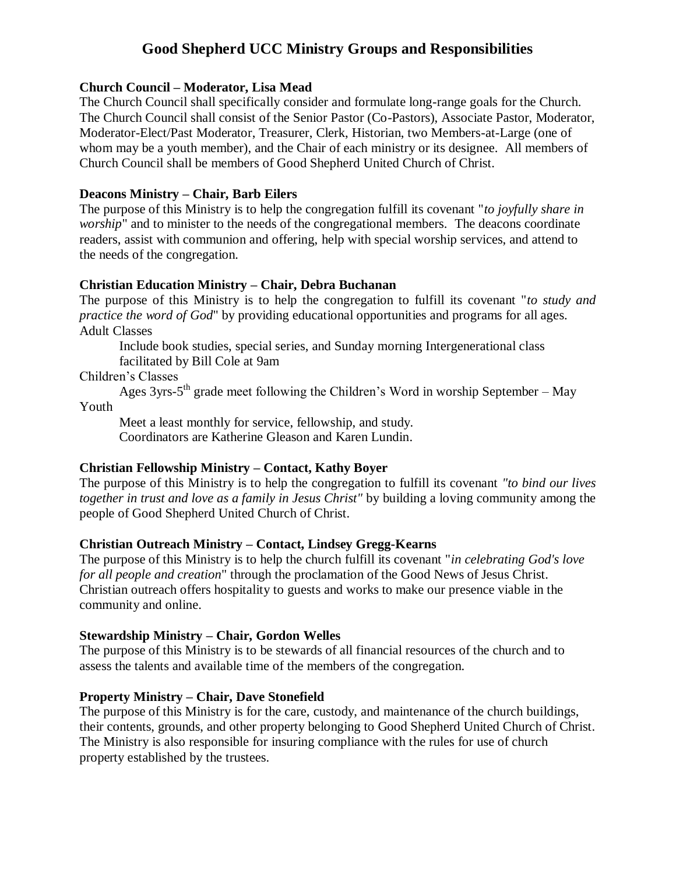# **Good Shepherd UCC Ministry Groups and Responsibilities**

### **Church Council – Moderator, Lisa Mead**

The Church Council shall specifically consider and formulate long-range goals for the Church. The Church Council shall consist of the Senior Pastor (Co-Pastors), Associate Pastor, Moderator, Moderator-Elect/Past Moderator, Treasurer, Clerk, Historian, two Members-at-Large (one of whom may be a youth member), and the Chair of each ministry or its designee. All members of Church Council shall be members of Good Shepherd United Church of Christ.

## **Deacons Ministry – Chair, Barb Eilers**

The purpose of this Ministry is to help the congregation fulfill its covenant "*to joyfully share in worship*" and to minister to the needs of the congregational members. The deacons coordinate readers, assist with communion and offering, help with special worship services, and attend to the needs of the congregation.

## **Christian Education Ministry – Chair, Debra Buchanan**

The purpose of this Ministry is to help the congregation to fulfill its covenant "*to study and practice the word of God*" by providing educational opportunities and programs for all ages. Adult Classes

Include book studies, special series, and Sunday morning Intergenerational class facilitated by Bill Cole at 9am

Children's Classes

Ages 3yrs-5<sup>th</sup> grade meet following the Children's Word in worship September – May Youth

Meet a least monthly for service, fellowship, and study. Coordinators are Katherine Gleason and Karen Lundin.

## **Christian Fellowship Ministry – Contact, Kathy Boyer**

The purpose of this Ministry is to help the congregation to fulfill its covenant *"to bind our lives together in trust and love as a family in Jesus Christ"* by building a loving community among the people of Good Shepherd United Church of Christ.

## **Christian Outreach Ministry – Contact, Lindsey Gregg-Kearns**

The purpose of this Ministry is to help the church fulfill its covenant "*in celebrating God's love for all people and creation*" through the proclamation of the Good News of Jesus Christ. Christian outreach offers hospitality to guests and works to make our presence viable in the community and online.

### **Stewardship Ministry – Chair, Gordon Welles**

The purpose of this Ministry is to be stewards of all financial resources of the church and to assess the talents and available time of the members of the congregation.

## **Property Ministry – Chair, Dave Stonefield**

The purpose of this Ministry is for the care, custody, and maintenance of the church buildings, their contents, grounds, and other property belonging to Good Shepherd United Church of Christ. The Ministry is also responsible for insuring compliance with the rules for use of church property established by the trustees.